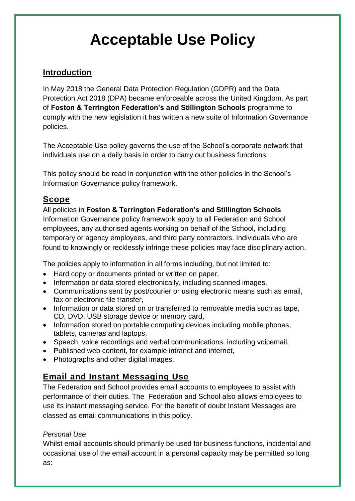# **Acceptable Use Policy**

## **Introduction**

In May 2018 the General Data Protection Regulation (GDPR) and the Data Protection Act 2018 (DPA) became enforceable across the United Kingdom. As part of **Foston & Terrington Federation's and Stillington Schools** programme to comply with the new legislation it has written a new suite of Information Governance policies.

The Acceptable Use policy governs the use of the School's corporate network that individuals use on a daily basis in order to carry out business functions.

This policy should be read in conjunction with the other policies in the School's Information Governance policy framework.

## **Scope**

All policies in **Foston & Terrington Federation's and Stillington Schools** Information Governance policy framework apply to all Federation and School employees, any authorised agents working on behalf of the School, including temporary or agency employees, and third party contractors. Individuals who are found to knowingly or recklessly infringe these policies may face disciplinary action.

The policies apply to information in all forms including, but not limited to:

- Hard copy or documents printed or written on paper,
- Information or data stored electronically, including scanned images,
- Communications sent by post/courier or using electronic means such as email, fax or electronic file transfer,
- Information or data stored on or transferred to removable media such as tape, CD, DVD, USB storage device or memory card,
- Information stored on portable computing devices including mobile phones, tablets, cameras and laptops,
- Speech, voice recordings and verbal communications, including voicemail,
- Published web content, for example intranet and internet,
- Photographs and other digital images.

# **Email and Instant Messaging Use**

The Federation and School provides email accounts to employees to assist with performance of their duties. The Federation and School also allows employees to use its instant messaging service. For the benefit of doubt Instant Messages are classed as email communications in this policy.

#### *Personal Use*

Whilst email accounts should primarily be used for business functions, incidental and occasional use of the email account in a personal capacity may be permitted so long as: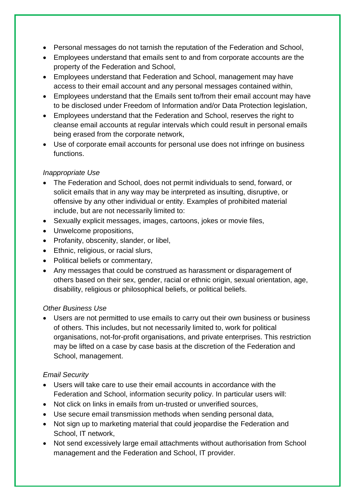- Personal messages do not tarnish the reputation of the Federation and School,
- Employees understand that emails sent to and from corporate accounts are the property of the Federation and School,
- Employees understand that Federation and School, management may have access to their email account and any personal messages contained within,
- Employees understand that the Emails sent to/from their email account may have to be disclosed under Freedom of Information and/or Data Protection legislation,
- Employees understand that the Federation and School, reserves the right to cleanse email accounts at regular intervals which could result in personal emails being erased from the corporate network,
- Use of corporate email accounts for personal use does not infringe on business functions.

#### *Inappropriate Use*

- The Federation and School, does not permit individuals to send, forward, or solicit emails that in any way may be interpreted as insulting, disruptive, or offensive by any other individual or entity. Examples of prohibited material include, but are not necessarily limited to:
- Sexually explicit messages, images, cartoons, jokes or movie files,
- Unwelcome propositions,
- Profanity, obscenity, slander, or libel,
- Ethnic, religious, or racial slurs,
- Political beliefs or commentary,
- Any messages that could be construed as harassment or disparagement of others based on their sex, gender, racial or ethnic origin, sexual orientation, age, disability, religious or philosophical beliefs, or political beliefs.

#### *Other Business Use*

 Users are not permitted to use emails to carry out their own business or business of others. This includes, but not necessarily limited to, work for political organisations, not-for-profit organisations, and private enterprises. This restriction may be lifted on a case by case basis at the discretion of the Federation and School, management.

#### *Email Security*

- Users will take care to use their email accounts in accordance with the Federation and School, information security policy. In particular users will:
- Not click on links in emails from un-trusted or unverified sources,
- Use secure email transmission methods when sending personal data,
- Not sign up to marketing material that could jeopardise the Federation and School, IT network,
- Not send excessively large email attachments without authorisation from School management and the Federation and School, IT provider.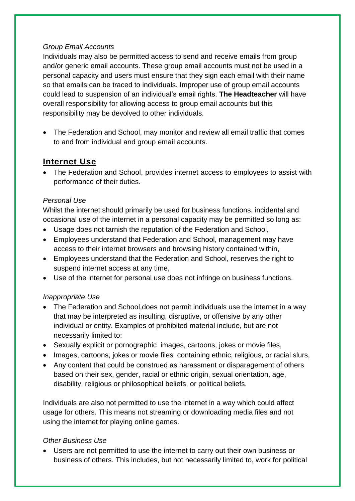#### *Group Email Accounts*

Individuals may also be permitted access to send and receive emails from group and/or generic email accounts. These group email accounts must not be used in a personal capacity and users must ensure that they sign each email with their name so that emails can be traced to individuals. Improper use of group email accounts could lead to suspension of an individual's email rights. **The Headteacher** will have overall responsibility for allowing access to group email accounts but this responsibility may be devolved to other individuals.

• The Federation and School, may monitor and review all email traffic that comes to and from individual and group email accounts.

### **Internet Use**

 The Federation and School, provides internet access to employees to assist with performance of their duties.

#### *Personal Use*

Whilst the internet should primarily be used for business functions, incidental and occasional use of the internet in a personal capacity may be permitted so long as:

- Usage does not tarnish the reputation of the Federation and School,
- Employees understand that Federation and School, management may have access to their internet browsers and browsing history contained within,
- Employees understand that the Federation and School, reserves the right to suspend internet access at any time,
- Use of the internet for personal use does not infringe on business functions.

#### *Inappropriate Use*

- The Federation and School, does not permit individuals use the internet in a way that may be interpreted as insulting, disruptive, or offensive by any other individual or entity. Examples of prohibited material include, but are not necessarily limited to:
- Sexually explicit or pornographic images, cartoons, jokes or movie files,
- Images, cartoons, jokes or movie files containing ethnic, religious, or racial slurs,
- Any content that could be construed as harassment or disparagement of others based on their sex, gender, racial or ethnic origin, sexual orientation, age, disability, religious or philosophical beliefs, or political beliefs.

Individuals are also not permitted to use the internet in a way which could affect usage for others. This means not streaming or downloading media files and not using the internet for playing online games.

#### *Other Business Use*

 Users are not permitted to use the internet to carry out their own business or business of others. This includes, but not necessarily limited to, work for political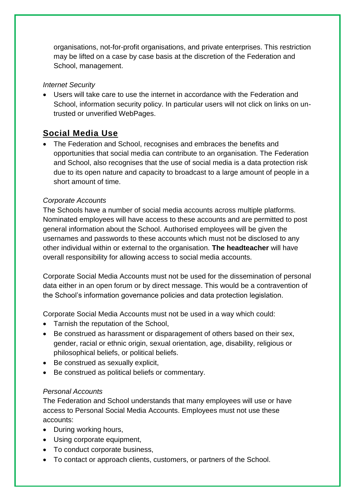organisations, not-for-profit organisations, and private enterprises. This restriction may be lifted on a case by case basis at the discretion of the Federation and School, management.

#### *Internet Security*

 Users will take care to use the internet in accordance with the Federation and School, information security policy. In particular users will not click on links on untrusted or unverified WebPages.

## **Social Media Use**

 The Federation and School, recognises and embraces the benefits and opportunities that social media can contribute to an organisation. The Federation and School, also recognises that the use of social media is a data protection risk due to its open nature and capacity to broadcast to a large amount of people in a short amount of time.

#### *Corporate Accounts*

The Schools have a number of social media accounts across multiple platforms. Nominated employees will have access to these accounts and are permitted to post general information about the School. Authorised employees will be given the usernames and passwords to these accounts which must not be disclosed to any other individual within or external to the organisation. **The headteacher** will have overall responsibility for allowing access to social media accounts.

Corporate Social Media Accounts must not be used for the dissemination of personal data either in an open forum or by direct message. This would be a contravention of the School's information governance policies and data protection legislation.

Corporate Social Media Accounts must not be used in a way which could:

- Tarnish the reputation of the School.
- Be construed as harassment or disparagement of others based on their sex, gender, racial or ethnic origin, sexual orientation, age, disability, religious or philosophical beliefs, or political beliefs.
- Be construed as sexually explicit.
- Be construed as political beliefs or commentary.

#### *Personal Accounts*

The Federation and School understands that many employees will use or have access to Personal Social Media Accounts. Employees must not use these accounts:

- During working hours,
- Using corporate equipment,
- To conduct corporate business,
- To contact or approach clients, customers, or partners of the School.